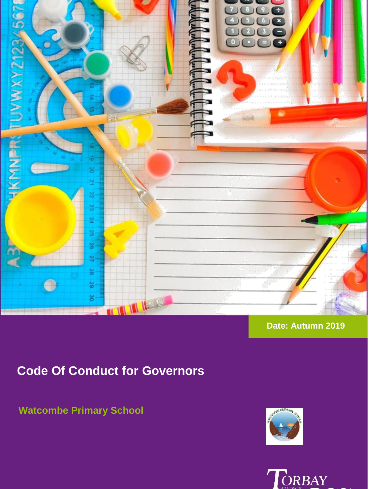

### **Date: Autumn 2019**

# **Code Of Conduct for Governors**

## **Watcombe Primary School**



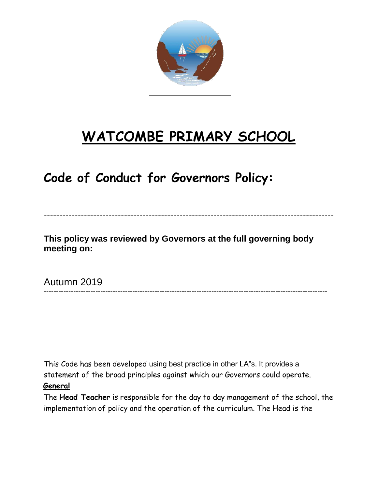

# **WATCOMBE PRIMARY SCHOOL**

# **Code of Conduct for Governors Policy:**

### **This policy was reviewed by Governors at the full governing body meeting on:**

----------------------------------------------------------------------------------------------

-------------------------------------------------------------------------------------------------------------------

Autumn 2019

This Code has been developed using best practice in other LA"s. It provides a statement of the broad principles against which our Governors could operate.

#### **General**

The **Head Teacher** is responsible for the day to day management of the school, the implementation of policy and the operation of the curriculum. The Head is the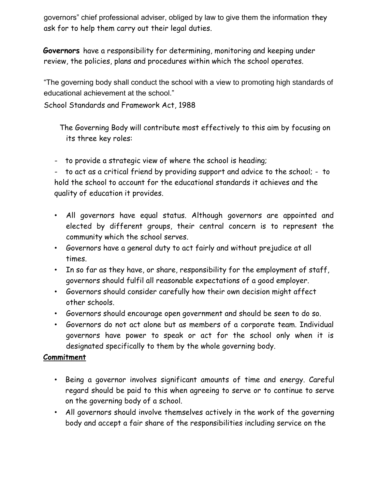governors" chief professional adviser, obliged by law to give them the information they ask for to help them carry out their legal duties.

**Governors** have a responsibility for determining, monitoring and keeping under review, the policies, plans and procedures within which the school operates.

"The governing body shall conduct the school with a view to promoting high standards of educational achievement at the school."

School Standards and Framework Act, 1988

The Governing Body will contribute most effectively to this aim by focusing on its three key roles:

- to provide a strategic view of where the school is heading;

- to act as a critical friend by providing support and advice to the school; - to hold the school to account for the educational standards it achieves and the quality of education it provides.

- All governors have equal status. Although governors are appointed and elected by different groups, their central concern is to represent the community which the school serves.
- Governors have a general duty to act fairly and without prejudice at all times.
- In so far as they have, or share, responsibility for the employment of staff, governors should fulfil all reasonable expectations of a good employer.
- Governors should consider carefully how their own decision might affect other schools.
- Governors should encourage open government and should be seen to do so.
- Governors do not act alone but as members of a corporate team. Individual governors have power to speak or act for the school only when it is designated specifically to them by the whole governing body.

#### **Commitment**

- Being a governor involves significant amounts of time and energy. Careful regard should be paid to this when agreeing to serve or to continue to serve on the governing body of a school.
- All governors should involve themselves actively in the work of the governing body and accept a fair share of the responsibilities including service on the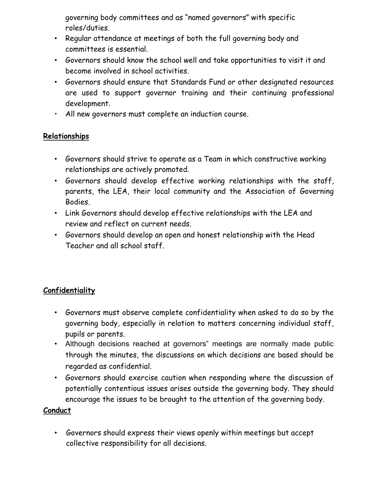governing body committees and as "named governors" with specific roles/duties.

- Regular attendance at meetings of both the full governing body and committees is essential.
- Governors should know the school well and take opportunities to visit it and become involved in school activities.
- Governors should ensure that Standards Fund or other designated resources are used to support governor training and their continuing professional development.
- All new governors must complete an induction course.

#### **Relationships**

- Governors should strive to operate as a Team in which constructive working relationships are actively promoted.
- Governors should develop effective working relationships with the staff, parents, the LEA, their local community and the Association of Governing Bodies.
- Link Governors should develop effective relationships with the LEA and review and reflect on current needs.
- Governors should develop an open and honest relationship with the Head Teacher and all school staff.

### **Confidentiality**

- Governors must observe complete confidentiality when asked to do so by the governing body, especially in relation to matters concerning individual staff, pupils or parents.
- Although decisions reached at governors" meetings are normally made public through the minutes, the discussions on which decisions are based should be regarded as confidential.
- Governors should exercise caution when responding where the discussion of potentially contentious issues arises outside the governing body. They should encourage the issues to be brought to the attention of the governing body.

#### **Conduct**

• Governors should express their views openly within meetings but accept collective responsibility for all decisions.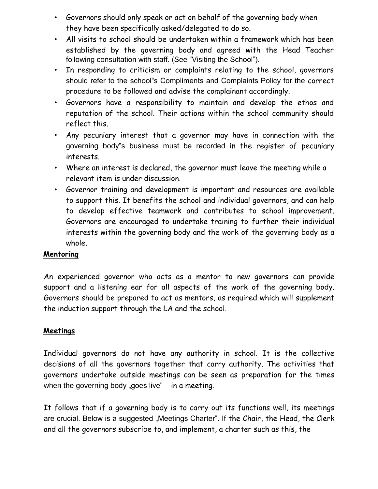- Governors should only speak or act on behalf of the governing body when they have been specifically asked/delegated to do so.
- All visits to school should be undertaken within a framework which has been established by the governing body and agreed with the Head Teacher following consultation with staff. (See "Visiting the School").
- In responding to criticism or complaints relating to the school, governors should refer to the school"s Compliments and Complaints Policy for the correct procedure to be followed and advise the complainant accordingly.
- Governors have a responsibility to maintain and develop the ethos and reputation of the school. Their actions within the school community should reflect this.
- Any pecuniary interest that a governor may have in connection with the governing body"s business must be recorded in the register of pecuniary interests.
- Where an interest is declared, the governor must leave the meeting while a relevant item is under discussion.
- Governor training and development is important and resources are available to support this. It benefits the school and individual governors, and can help to develop effective teamwork and contributes to school improvement. Governors are encouraged to undertake training to further their individual interests within the governing body and the work of the governing body as a whole.

#### **Mentoring**

An experienced governor who acts as a mentor to new governors can provide support and a listening ear for all aspects of the work of the governing body. Governors should be prepared to act as mentors, as required which will supplement the induction support through the LA and the school.

#### **Meetings**

Individual governors do not have any authority in school. It is the collective decisions of all the governors together that carry authority. The activities that governors undertake outside meetings can be seen as preparation for the times when the governing body "goes live"  $-$  in a meeting.

It follows that if a governing body is to carry out its functions well, its meetings are crucial. Below is a suggested "Meetings Charter". If the Chair, the Head, the Clerk and all the governors subscribe to, and implement, a charter such as this, the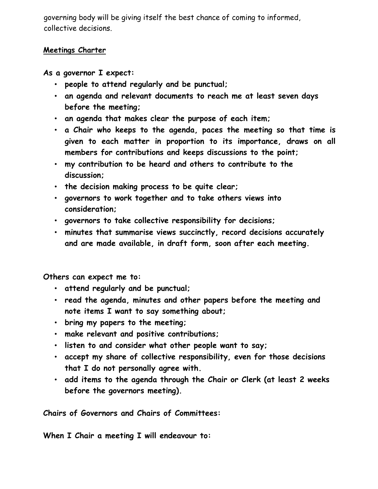governing body will be giving itself the best chance of coming to informed, collective decisions.

#### **Meetings Charter**

**As a governor I expect:**

- **people to attend regularly and be punctual;**
- **an agenda and relevant documents to reach me at least seven days before the meeting;**
- **an agenda that makes clear the purpose of each item;**
- **a Chair who keeps to the agenda, paces the meeting so that time is given to each matter in proportion to its importance, draws on all members for contributions and keeps discussions to the point;**
- **my contribution to be heard and others to contribute to the discussion;**
- **the decision making process to be quite clear;**
- **governors to work together and to take others views into consideration;**
- **governors to take collective responsibility for decisions;**
- **minutes that summarise views succinctly, record decisions accurately and are made available, in draft form, soon after each meeting.**

**Others can expect me to:**

- **attend regularly and be punctual;**
- **read the agenda, minutes and other papers before the meeting and note items I want to say something about;**
- **bring my papers to the meeting;**
- **make relevant and positive contributions;**
- **listen to and consider what other people want to say;**
- **accept my share of collective responsibility, even for those decisions that I do not personally agree with.**
- **add items to the agenda through the Chair or Clerk (at least 2 weeks before the governors meeting).**

**Chairs of Governors and Chairs of Committees:**

**When I Chair a meeting I will endeavour to:**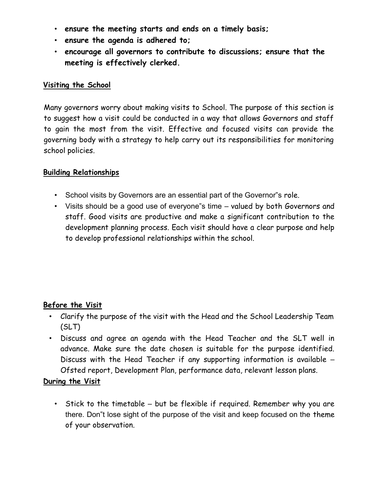- **ensure the meeting starts and ends on a timely basis;**
- **ensure the agenda is adhered to;**
- **encourage all governors to contribute to discussions; ensure that the meeting is effectively clerked.**

#### **Visiting the School**

Many governors worry about making visits to School. The purpose of this section is to suggest how a visit could be conducted in a way that allows Governors and staff to gain the most from the visit. Effective and focused visits can provide the governing body with a strategy to help carry out its responsibilities for monitoring school policies.

#### **Building Relationships**

- School visits by Governors are an essential part of the Governor"s role.
- Visits should be a good use of everyone"s time valued by both Governors and staff. Good visits are productive and make a significant contribution to the development planning process. Each visit should have a clear purpose and help to develop professional relationships within the school.

#### **Before the Visit**

- Clarify the purpose of the visit with the Head and the School Leadership Team (SLT)
- Discuss and agree an agenda with the Head Teacher and the SLT well in advance. Make sure the date chosen is suitable for the purpose identified. Discuss with the Head Teacher if any supporting information is available – Ofsted report, Development Plan, performance data, relevant lesson plans.

#### **During the Visit**

• Stick to the timetable – but be flexible if required. Remember why you are there. Don"t lose sight of the purpose of the visit and keep focused on the theme of your observation.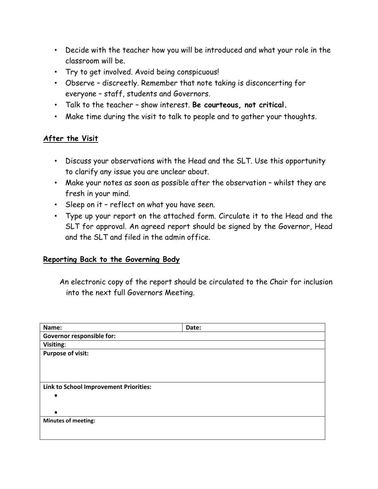- Decide with the teacher how you will be introduced and what your role in the classroom will be.
- Try to get involved. Avoid being conspicuous!
- Observe discreetly. Remember that note taking is disconcerting for everyone – staff, students and Governors.
- Talk to the teacher show interest. **Be courteous, not critical.**
- Make time during the visit to talk to people and to gather your thoughts.

#### **After the Visit**

- Discuss your observations with the Head and the SLT. Use this opportunity to clarify any issue you are unclear about.
- Make your notes as soon as possible after the observation whilst they are fresh in your mind.
- Sleep on it reflect on what you have seen.
- Type up your report on the attached form. Circulate it to the Head and the SLT for approval. An agreed report should be signed by the Governor, Head and the SLT and filed in the admin office.

#### **Reporting Back to the Governing Body**

An electronic copy of the report should be circulated to the Chair for inclusion into the next full Governors Meeting.

| Name:                                  | Date: |  |
|----------------------------------------|-------|--|
| Governor responsible for:              |       |  |
| Visiting:                              |       |  |
| <b>Purpose of visit:</b>               |       |  |
|                                        |       |  |
|                                        |       |  |
|                                        |       |  |
| Link to School Improvement Priorities: |       |  |
|                                        |       |  |
|                                        |       |  |
|                                        |       |  |
| <b>Minutes of meeting:</b>             |       |  |
|                                        |       |  |
|                                        |       |  |